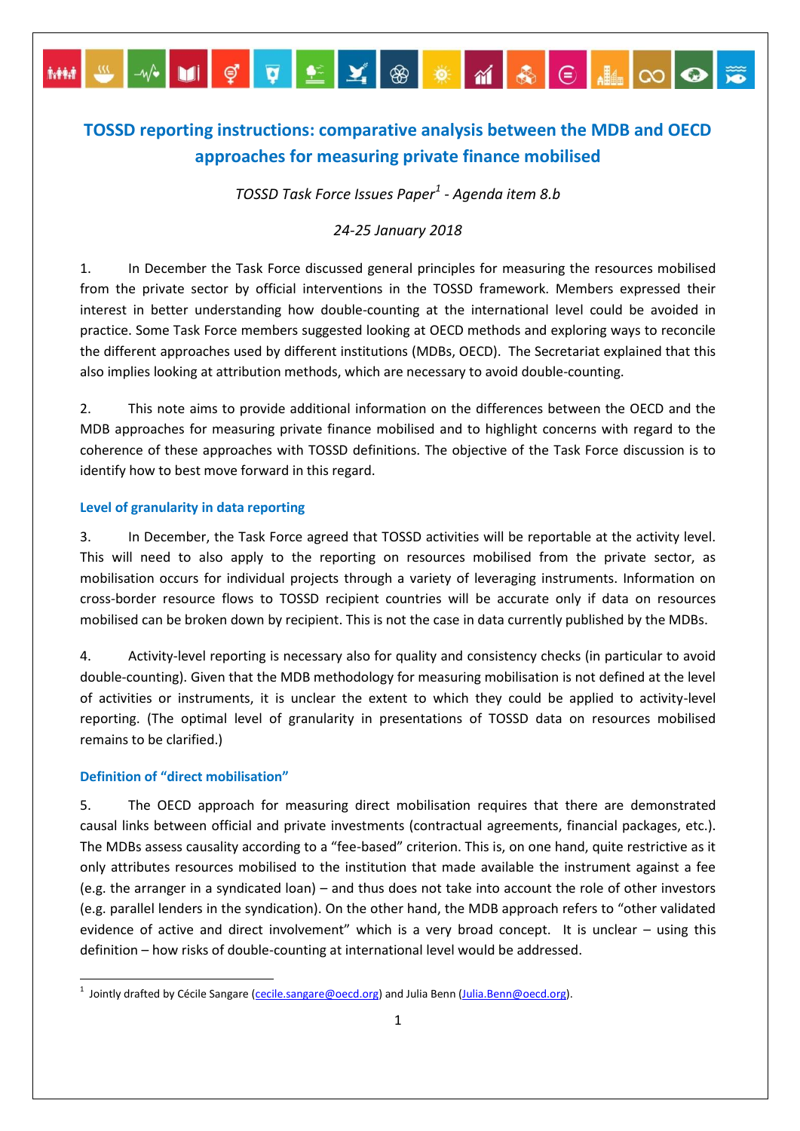# **TOSSD reporting instructions: comparative analysis between the MDB and OECD approaches for measuring private finance mobilised**

MM S X DI Ç Q L Y ® <mark>\* </mark>M & E HIO ©

*TOSSD Task Force Issues Paper<sup>1</sup> - Agenda item 8.b*

# *24-25 January 2018*

1. In December the Task Force discussed general principles for measuring the resources mobilised from the private sector by official interventions in the TOSSD framework. Members expressed their interest in better understanding how double-counting at the international level could be avoided in practice. Some Task Force members suggested looking at OECD methods and exploring ways to reconcile the different approaches used by different institutions (MDBs, OECD). The Secretariat explained that this also implies looking at attribution methods, which are necessary to avoid double-counting.

2. This note aims to provide additional information on the differences between the OECD and the MDB approaches for measuring private finance mobilised and to highlight concerns with regard to the coherence of these approaches with TOSSD definitions. The objective of the Task Force discussion is to identify how to best move forward in this regard.

### **Level of granularity in data reporting**

3. In December, the Task Force agreed that TOSSD activities will be reportable at the activity level. This will need to also apply to the reporting on resources mobilised from the private sector, as mobilisation occurs for individual projects through a variety of leveraging instruments. Information on cross-border resource flows to TOSSD recipient countries will be accurate only if data on resources mobilised can be broken down by recipient. This is not the case in data currently published by the MDBs.

4. Activity-level reporting is necessary also for quality and consistency checks (in particular to avoid double-counting). Given that the MDB methodology for measuring mobilisation is not defined at the level of activities or instruments, it is unclear the extent to which they could be applied to activity-level reporting. (The optimal level of granularity in presentations of TOSSD data on resources mobilised remains to be clarified.)

#### **Definition of "direct mobilisation"**

 $\ddot{\phantom{a}}$ 

5. The OECD approach for measuring direct mobilisation requires that there are demonstrated causal links between official and private investments (contractual agreements, financial packages, etc.). The MDBs assess causality according to a "fee-based" criterion. This is, on one hand, quite restrictive as it only attributes resources mobilised to the institution that made available the instrument against a fee (e.g. the arranger in a syndicated loan) – and thus does not take into account the role of other investors (e.g. parallel lenders in the syndication). On the other hand, the MDB approach refers to "other validated evidence of active and direct involvement" which is a very broad concept. It is unclear – using this definition – how risks of double-counting at international level would be addressed.

<sup>&</sup>lt;sup>1</sup> Jointly drafted by Cécile Sangare [\(cecile.sangare@oecd.org\)](mailto:cecile.sangare@oecd.org) and Julia Benn [\(Julia.Benn@oecd.org\)](mailto:Julia.Benn@oecd.org).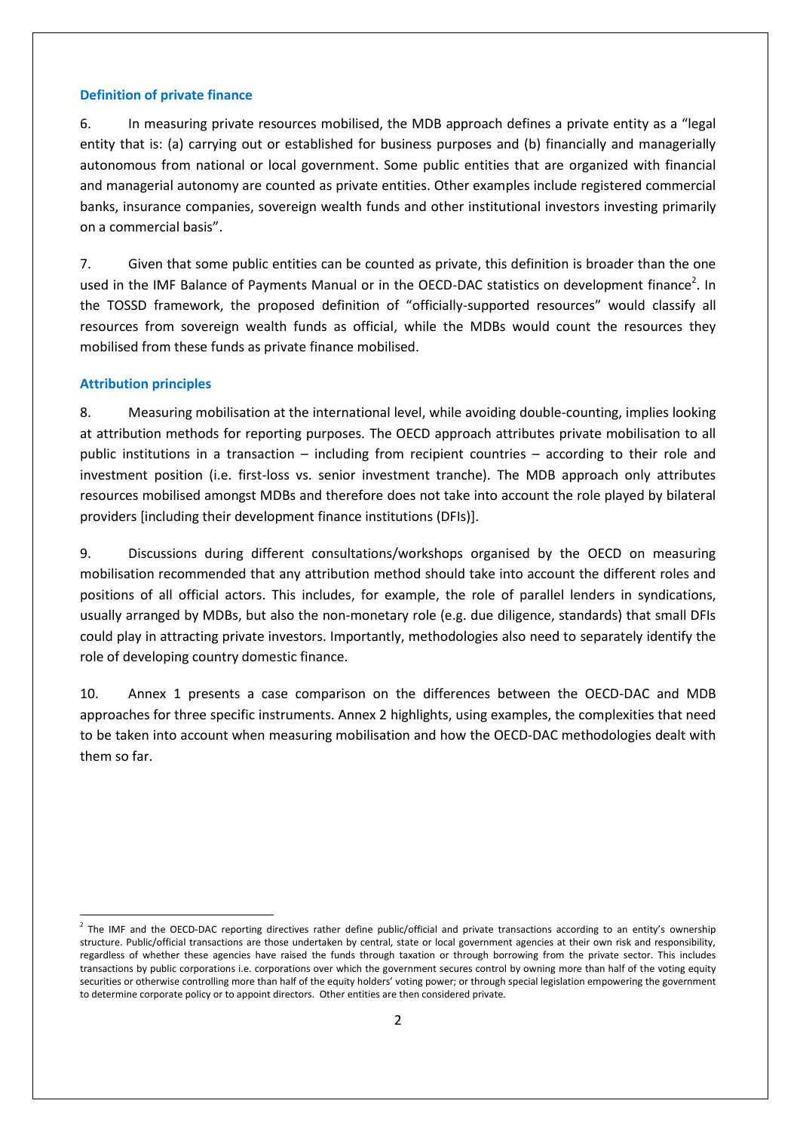### **Definition of private finance**

6. In measuring private resources mobilised, the MDB approach defines a private entity as a "legal entity that is: (a) carrying out or established for business purposes and (b) financially and managerially autonomous from national or local government. Some public entities that are organized with financial and managerial autonomy are counted as private entities. Other examples include registered commercial banks, insurance companies, sovereign wealth funds and other institutional investors investing primarily on a commercial basis".

7. Given that some public entities can be counted as private, this definition is broader than the one used in the IMF Balance of Payments Manual or in the OECD-DAC statistics on development finance<sup>2</sup>. In the TOSSD framework, the proposed definition of "officially-supported resources" would classify all resources from sovereign wealth funds as official, while the MDBs would count the resources they mobilised from these funds as private finance mobilised.

### **Attribution principles**

1

8. Measuring mobilisation at the international level, while avoiding double-counting, implies looking at attribution methods for reporting purposes. The OECD approach attributes private mobilisation to all public institutions in a transaction – including from recipient countries – according to their role and investment position (i.e. first-loss vs. senior investment tranche). The MDB approach only attributes resources mobilised amongst MDBs and therefore does not take into account the role played by bilateral providers [including their development finance institutions (DFIs)].

9. Discussions during different consultations/workshops organised by the OECD on measuring mobilisation recommended that any attribution method should take into account the different roles and positions of all official actors. This includes, for example, the role of parallel lenders in syndications, usually arranged by MDBs, but also the non-monetary role (e.g. due diligence, standards) that small DFIs could play in attracting private investors. Importantly, methodologies also need to separately identify the role of developing country domestic finance.

10. Annex 1 presents a case comparison on the differences between the OECD-DAC and MDB approaches for three specific instruments. Annex 2 highlights, using examples, the complexities that need to be taken into account when measuring mobilisation and how the OECD-DAC methodologies dealt with them so far.

 $^2$  The IMF and the OECD-DAC reporting directives rather define public/official and private transactions according to an entity's ownership structure. Public/official transactions are those undertaken by central, state or local government agencies at their own risk and responsibility, regardless of whether these agencies have raised the funds through taxation or through borrowing from the private sector. This includes transactions by public corporations i.e. corporations over which the government secures control by owning more than half of the voting equity securities or otherwise controlling more than half of the equity holders' voting power; or through special legislation empowering the government to determine corporate policy or to appoint directors. Other entities are then considered private.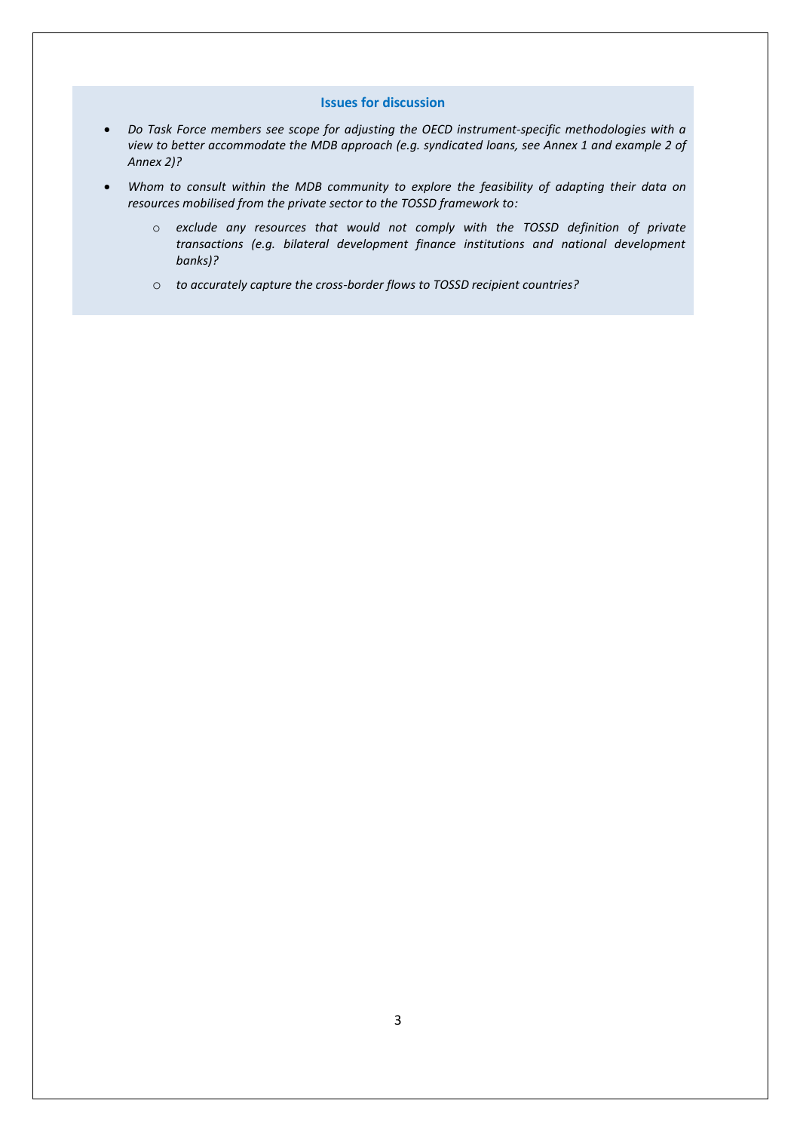#### **Issues for discussion**

- *Do Task Force members see scope for adjusting the OECD instrument-specific methodologies with a view to better accommodate the MDB approach (e.g. syndicated loans, see Annex 1 and example 2 of Annex 2)?*
- *Whom to consult within the MDB community to explore the feasibility of adapting their data on resources mobilised from the private sector to the TOSSD framework to:*
	- o *exclude any resources that would not comply with the TOSSD definition of private transactions (e.g. bilateral development finance institutions and national development banks)?*
	- o *to accurately capture the cross-border flows to TOSSD recipient countries?*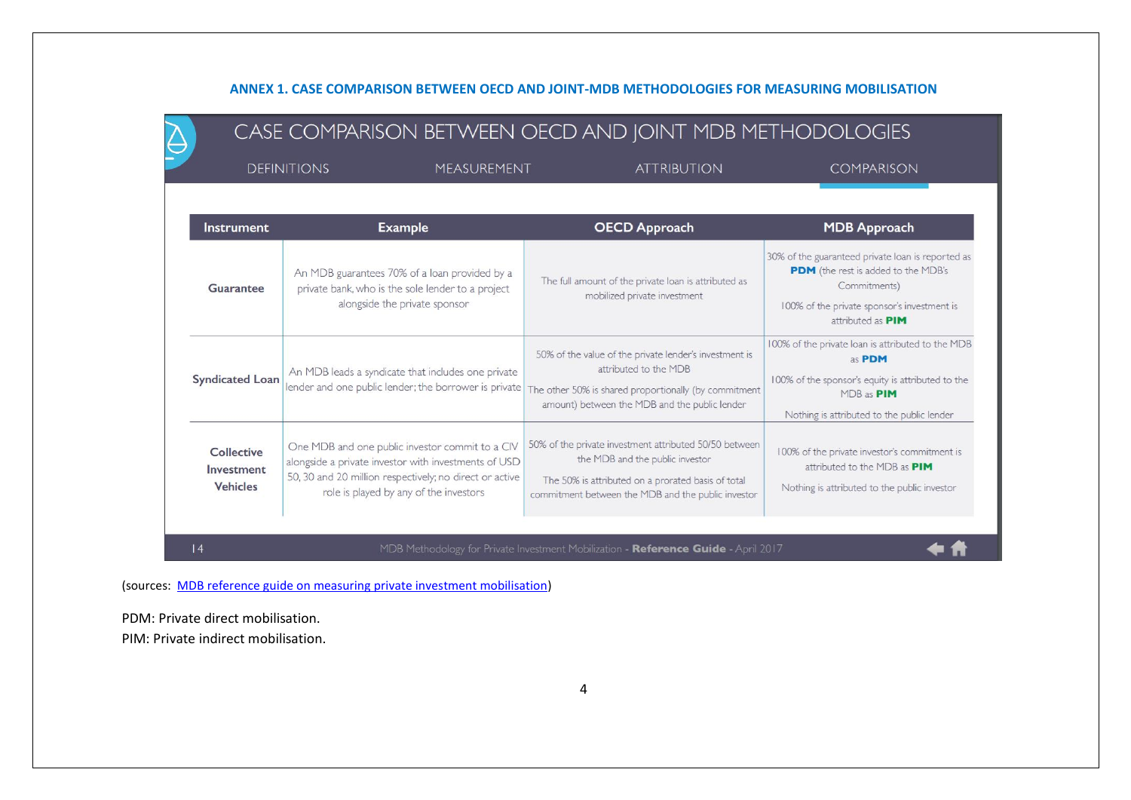## **ANNEX 1. CASE COMPARISON BETWEEN OECD AND JOINT-MDB METHODOLOGIES FOR MEASURING MOBILISATION**

| <b>DEFINITIONS</b><br>MEASUREMENT           |                                                                                                                                                                                                              | <b>ATTRIBUTION</b>                                                                                                                                                                                    | <b>COMPARISON</b>                                                                                                                                                                   |
|---------------------------------------------|--------------------------------------------------------------------------------------------------------------------------------------------------------------------------------------------------------------|-------------------------------------------------------------------------------------------------------------------------------------------------------------------------------------------------------|-------------------------------------------------------------------------------------------------------------------------------------------------------------------------------------|
| <b>Instrument</b>                           | <b>Example</b>                                                                                                                                                                                               | <b>OECD Approach</b>                                                                                                                                                                                  | <b>MDB Approach</b>                                                                                                                                                                 |
| Guarantee                                   | An MDB guarantees 70% of a loan provided by a<br>private bank, who is the sole lender to a project<br>alongside the private sponsor                                                                          | The full amount of the private loan is attributed as<br>mobilized private investment                                                                                                                  | 30% of the guaranteed private loan is reported as<br>PDM (the rest is added to the MDB's<br>Commitments)<br>100% of the private sponsor's investment is<br>attributed as <b>PIM</b> |
| <b>Syndicated Loan</b>                      | An MDB leads a syndicate that includes one private<br>lender and one public lender; the borrower is private                                                                                                  | 50% of the value of the private lender's investment is<br>attributed to the MDB<br>The other 50% is shared proportionally (by commitment<br>amount) between the MDB and the public lender             |                                                                                                                                                                                     |
| Collective<br>Investment<br><b>Vehicles</b> | One MDB and one public investor commit to a CIV<br>alongside a private investor with investments of USD<br>50, 30 and 20 million respectively; no direct or active<br>role is played by any of the investors | 50% of the private investment attributed 50/50 between<br>the MDB and the public investor<br>The 50% is attributed on a prorated basis of total<br>commitment between the MDB and the public investor | 100% of the private investor's commitment is<br>attributed to the MDB as <b>PIM</b><br>Nothing is attributed to the public investor                                                 |

(sources: [MDB reference guide on measuring private investment mobilisation\)](http://documents.worldbank.org/curated/en/495061492543870701/pdf/114403-PUBLIC-PrivInvestMob-Ref-Guide-Aug-14-2017.pdf)

PDM: Private direct mobilisation. PIM: Private indirect mobilisation.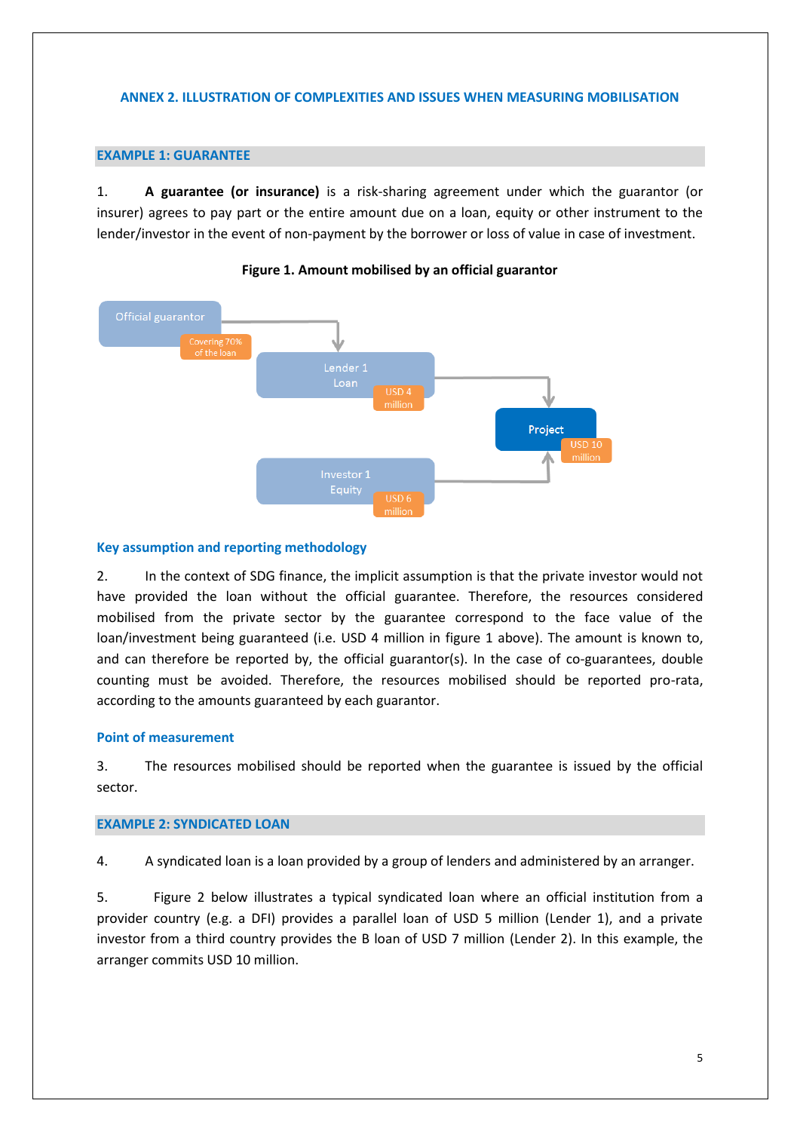# **ANNEX 2. ILLUSTRATION OF COMPLEXITIES AND ISSUES WHEN MEASURING MOBILISATION**

# **EXAMPLE 1: GUARANTEE**

1. **A guarantee (or insurance)** is a risk-sharing agreement under which the guarantor (or insurer) agrees to pay part or the entire amount due on a loan, equity or other instrument to the lender/investor in the event of non-payment by the borrower or loss of value in case of investment.





## **Key assumption and reporting methodology**

2. In the context of SDG finance, the implicit assumption is that the private investor would not have provided the loan without the official guarantee. Therefore, the resources considered mobilised from the private sector by the guarantee correspond to the face value of the loan/investment being guaranteed (i.e. USD 4 million in figure 1 above). The amount is known to, and can therefore be reported by, the official guarantor(s). In the case of co-guarantees, double counting must be avoided. Therefore, the resources mobilised should be reported pro-rata, according to the amounts guaranteed by each guarantor.

## **Point of measurement**

3. The resources mobilised should be reported when the guarantee is issued by the official sector.

## **EXAMPLE 2: SYNDICATED LOAN**

4. A syndicated loan is a loan provided by a group of lenders and administered by an arranger.

5. Figure 2 below illustrates a typical syndicated loan where an official institution from a provider country (e.g. a DFI) provides a parallel loan of USD 5 million (Lender 1), and a private investor from a third country provides the B loan of USD 7 million (Lender 2). In this example, the arranger commits USD 10 million.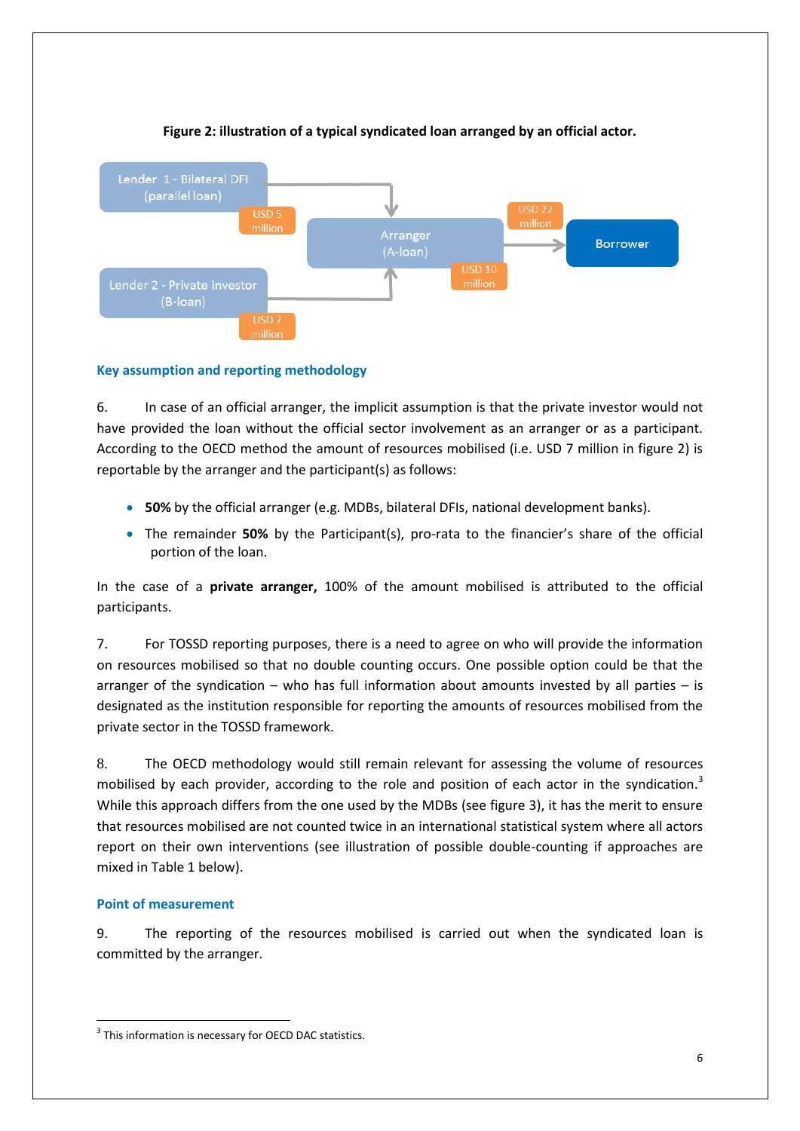

# **Figure 2: illustration of a typical syndicated loan arranged by an official actor.**

# **Key assumption and reporting methodology**

6. In case of an official arranger, the implicit assumption is that the private investor would not have provided the loan without the official sector involvement as an arranger or as a participant. According to the OECD method the amount of resources mobilised (i.e. USD 7 million in figure 2) is reportable by the arranger and the participant(s) as follows:

- **50%** by the official arranger (e.g. MDBs, bilateral DFIs, national development banks).
- The remainder **50%** by the Participant(s), pro-rata to the financier's share of the official portion of the loan.

In the case of a **private arranger,** 100% of the amount mobilised is attributed to the official participants.

7. For TOSSD reporting purposes, there is a need to agree on who will provide the information on resources mobilised so that no double counting occurs. One possible option could be that the arranger of the syndication – who has full information about amounts invested by all parties – is designated as the institution responsible for reporting the amounts of resources mobilised from the private sector in the TOSSD framework.

8. The OECD methodology would still remain relevant for assessing the volume of resources mobilised by each provider, according to the role and position of each actor in the syndication.<sup>3</sup> While this approach differs from the one used by the MDBs (see figure 3), it has the merit to ensure that resources mobilised are not counted twice in an international statistical system where all actors report on their own interventions (see illustration of possible double-counting if approaches are mixed in Table 1 below).

# **Point of measurement**

 $\overline{a}$ 

9. The reporting of the resources mobilised is carried out when the syndicated loan is committed by the arranger.

 $3$  This information is necessary for OECD DAC statistics.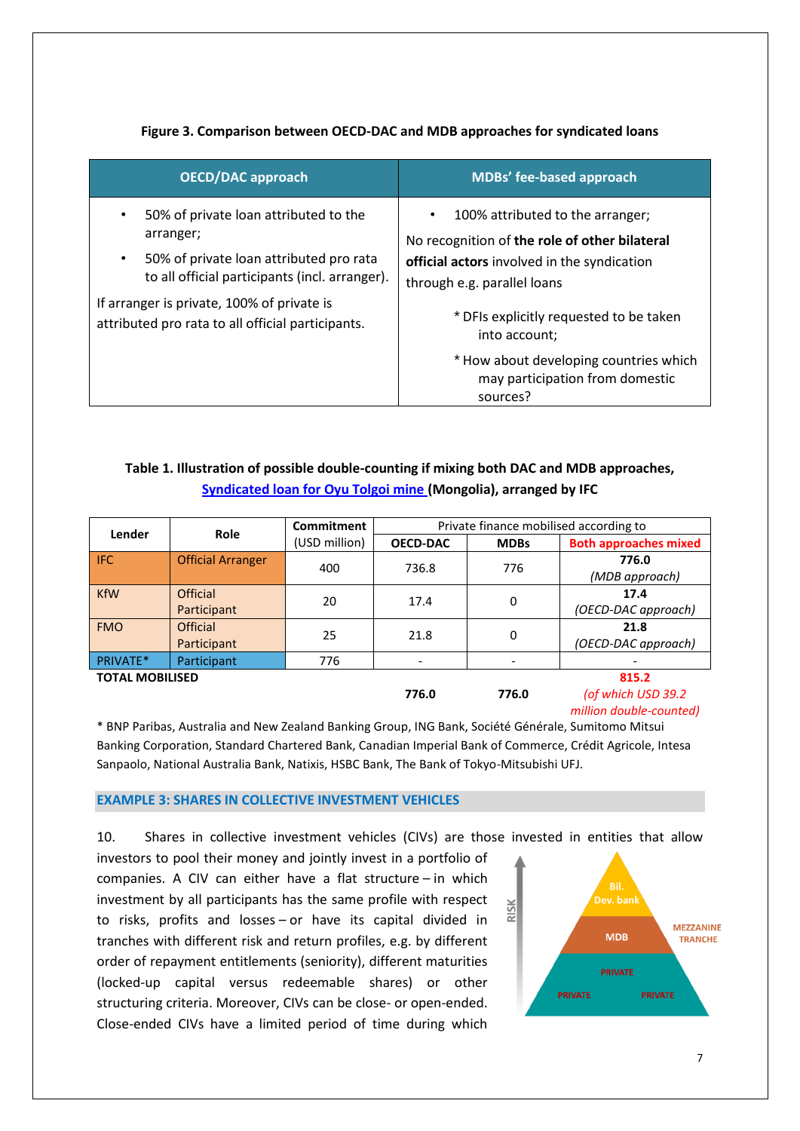# **Figure 3. Comparison between OECD-DAC and MDB approaches for syndicated loans**

| <b>OECD/DAC approach</b>                                                                                                                                                                                                                                                     | <b>MDBs' fee-based approach</b>                                                                                                                                                                                                                                                                                                   |  |  |
|------------------------------------------------------------------------------------------------------------------------------------------------------------------------------------------------------------------------------------------------------------------------------|-----------------------------------------------------------------------------------------------------------------------------------------------------------------------------------------------------------------------------------------------------------------------------------------------------------------------------------|--|--|
| 50% of private loan attributed to the<br>$\bullet$<br>arranger;<br>50% of private loan attributed pro rata<br>$\bullet$<br>to all official participants (incl. arranger).<br>If arranger is private, 100% of private is<br>attributed pro rata to all official participants. | 100% attributed to the arranger;<br>$\bullet$<br>No recognition of the role of other bilateral<br>official actors involved in the syndication<br>through e.g. parallel loans<br>* DFIs explicitly requested to be taken<br>into account;<br>* How about developing countries which<br>may participation from domestic<br>sources? |  |  |

# **Table 1. Illustration of possible double-counting if mixing both DAC and MDB approaches, [Syndicated loan for Oyu Tolgoi mine](https://ifcextapps.ifc.org/ifcext%5Cpressroom%5Cifcpressroom.nsf%5C0%5CC64D74678BB89E2985257F1C0050C813) (Mongolia), arranged by IFC**

| Lender                 | <b>Role</b>              | Private finance mobilised according to<br>Commitment |                 |             |                              |
|------------------------|--------------------------|------------------------------------------------------|-----------------|-------------|------------------------------|
|                        |                          | (USD million)                                        | <b>OECD-DAC</b> | <b>MDBs</b> | <b>Both approaches mixed</b> |
| <b>IFC</b>             | <b>Official Arranger</b> | 400                                                  | 736.8           | 776         | 776.0                        |
|                        |                          |                                                      |                 |             | (MDB approach)               |
| <b>KfW</b>             | Official                 | 20                                                   | 17.4            | 0           | 17.4                         |
|                        | Participant              |                                                      |                 |             | (OECD-DAC approach)          |
| <b>FMO</b>             | Official                 | 25                                                   | 21.8            | 0           | 21.8                         |
|                        | Participant              |                                                      |                 |             | (OECD-DAC approach)          |
| PRIVATE*               | Participant              | 776                                                  |                 |             |                              |
| <b>TOTAL MOBILISED</b> |                          |                                                      |                 | 815.2       |                              |
|                        |                          |                                                      | 776.0           | 776.0       | (of which USD 39.2           |

*million double-counted)*

\* BNP Paribas, Australia and New Zealand Banking Group, ING Bank, Société Générale, Sumitomo Mitsui Banking Corporation, Standard Chartered Bank, Canadian Imperial Bank of Commerce, Crédit Agricole, Intesa Sanpaolo, National Australia Bank, Natixis, HSBC Bank, The Bank of Tokyo-Mitsubishi UFJ.

## **EXAMPLE 3: SHARES IN COLLECTIVE INVESTMENT VEHICLES**

10. Shares in collective investment vehicles (CIVs) are those invested in entities that allow

investors to pool their money and jointly invest in a portfolio of companies. A CIV can either have a flat structure – in which investment by all participants has the same profile with respect to risks, profits and losses – or have its capital divided in tranches with different risk and return profiles, e.g. by different order of repayment entitlements (seniority), different maturities (locked-up capital versus redeemable shares) or other structuring criteria. Moreover, CIVs can be close- or open-ended. Close-ended CIVs have a limited period of time during which

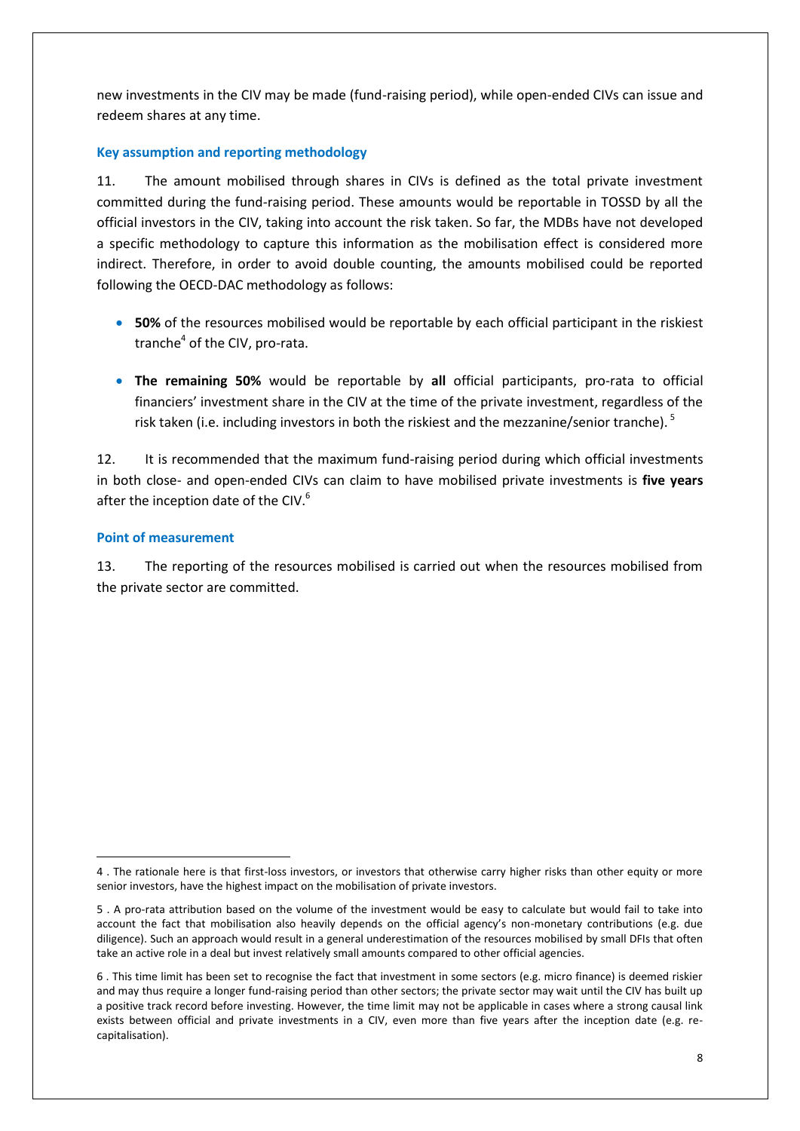new investments in the CIV may be made (fund-raising period), while open-ended CIVs can issue and redeem shares at any time.

# **Key assumption and reporting methodology**

11. The amount mobilised through shares in CIVs is defined as the total private investment committed during the fund*-*raising period. These amounts would be reportable in TOSSD by all the official investors in the CIV, taking into account the risk taken. So far, the MDBs have not developed a specific methodology to capture this information as the mobilisation effect is considered more indirect. Therefore, in order to avoid double counting, the amounts mobilised could be reported following the OECD-DAC methodology as follows:

- **50%** of the resources mobilised would be reportable by each official participant in the riskiest tranche<sup>4</sup> of the CIV, pro-rata.
- **The remaining 50%** would be reportable by **all** official participants, pro-rata to official financiers' investment share in the CIV at the time of the private investment, regardless of the risk taken (i.e. including investors in both the riskiest and the mezzanine/senior tranche). <sup>5</sup>

12. It is recommended that the maximum fund-raising period during which official investments in both close- and open-ended CIVs can claim to have mobilised private investments is **five years**  after the inception date of the CIV.<sup>6</sup>

## **Point of measurement**

1

13. The reporting of the resources mobilised is carried out when the resources mobilised from the private sector are committed.

<sup>4</sup> . The rationale here is that first-loss investors, or investors that otherwise carry higher risks than other equity or more senior investors, have the highest impact on the mobilisation of private investors.

<sup>5</sup> . A pro-rata attribution based on the volume of the investment would be easy to calculate but would fail to take into account the fact that mobilisation also heavily depends on the official agency's non-monetary contributions (e.g. due diligence). Such an approach would result in a general underestimation of the resources mobilised by small DFIs that often take an active role in a deal but invest relatively small amounts compared to other official agencies.

<sup>6</sup> . This time limit has been set to recognise the fact that investment in some sectors (e.g. micro finance) is deemed riskier and may thus require a longer fund-raising period than other sectors; the private sector may wait until the CIV has built up a positive track record before investing. However, the time limit may not be applicable in cases where a strong causal link exists between official and private investments in a CIV, even more than five years after the inception date (e.g. recapitalisation).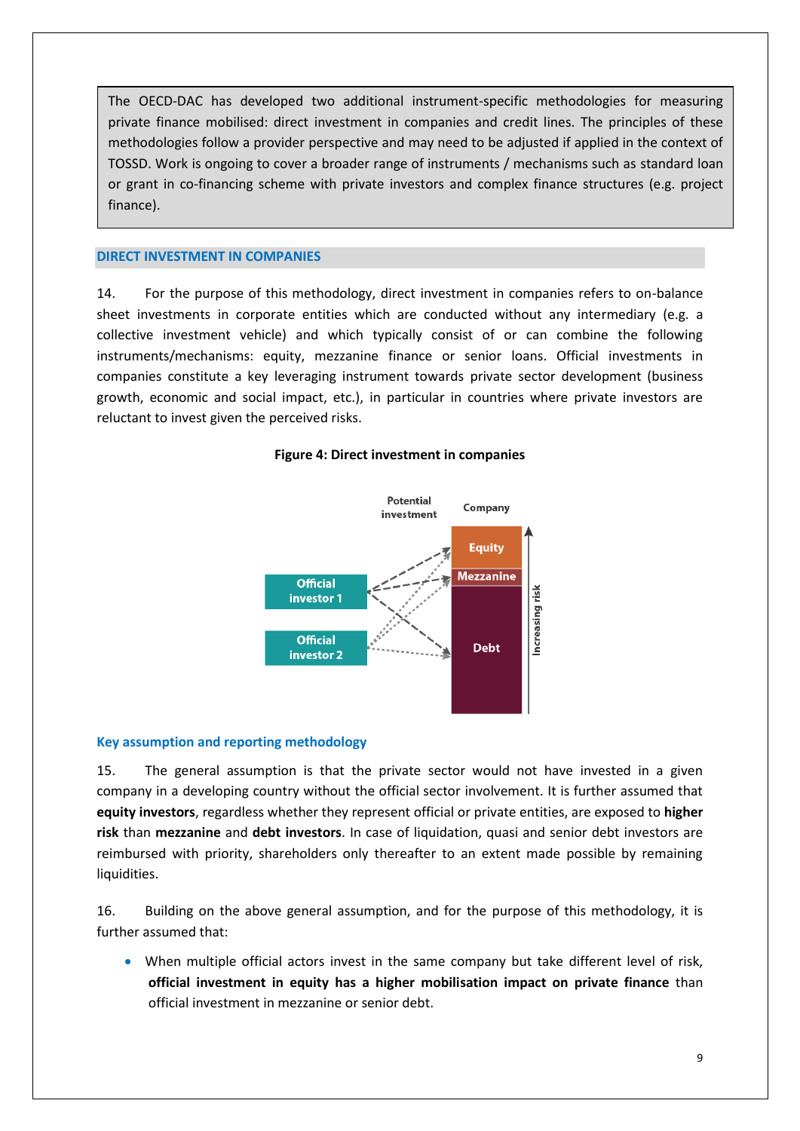The OECD-DAC has developed two additional instrument-specific methodologies for measuring private finance mobilised: direct investment in companies and credit lines. The principles of these methodologies follow a provider perspective and may need to be adjusted if applied in the context of TOSSD. Work is ongoing to cover a broader range of instruments / mechanisms such as standard loan or grant in co-financing scheme with private investors and complex finance structures (e.g. project finance).

### **DIRECT INVESTMENT IN COMPANIES**

14. For the purpose of this methodology, direct investment in companies refers to on-balance sheet investments in corporate entities which are conducted without any intermediary (e.g. a collective investment vehicle) and which typically consist of or can combine the following instruments/mechanisms: equity, mezzanine finance or senior loans. Official investments in companies constitute a key leveraging instrument towards private sector development (business growth, economic and social impact, etc.), in particular in countries where private investors are reluctant to invest given the perceived risks.



#### **Figure 4: Direct investment in companies**

#### **Key assumption and reporting methodology**

15. The general assumption is that the private sector would not have invested in a given company in a developing country without the official sector involvement. It is further assumed that **equity investors**, regardless whether they represent official or private entities, are exposed to **higher risk** than **mezzanine** and **debt investors**. In case of liquidation, quasi and senior debt investors are reimbursed with priority, shareholders only thereafter to an extent made possible by remaining liquidities.

16. Building on the above general assumption, and for the purpose of this methodology, it is further assumed that:

 When multiple official actors invest in the same company but take different level of risk, **official investment in equity has a higher mobilisation impact on private finance** than official investment in mezzanine or senior debt.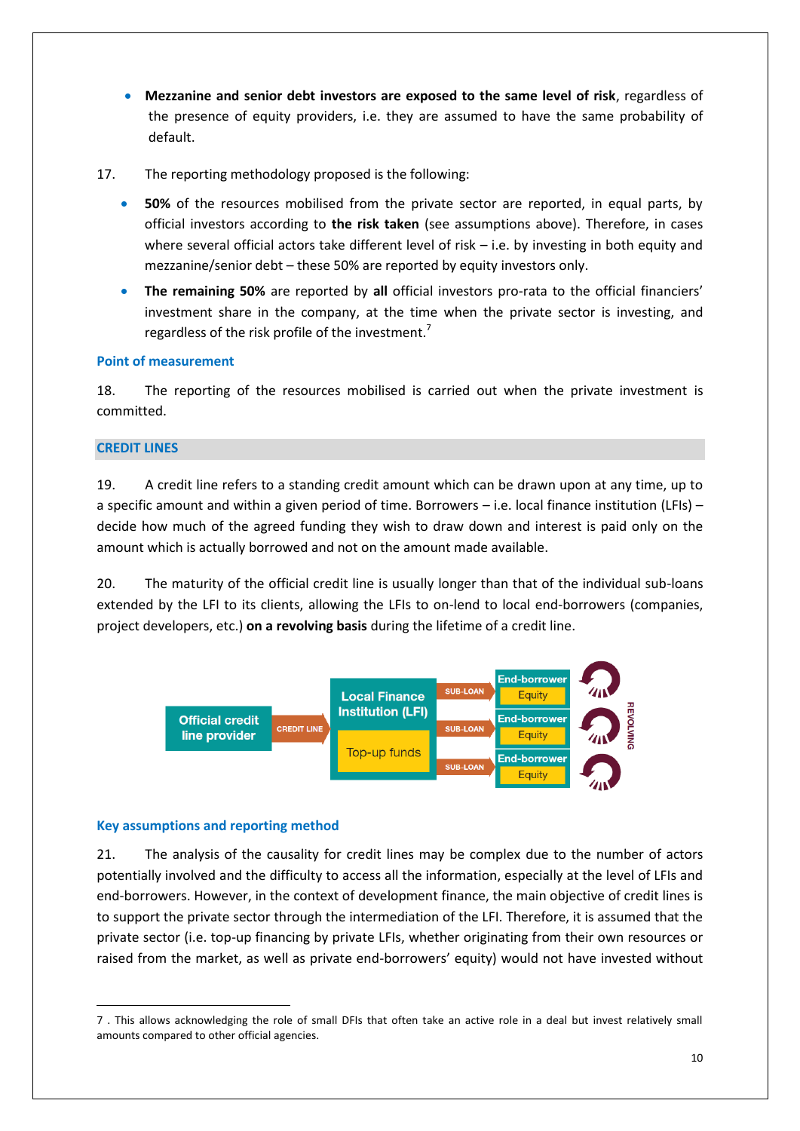- **Mezzanine and senior debt investors are exposed to the same level of risk**, regardless of the presence of equity providers, i.e. they are assumed to have the same probability of default.
- 17. The reporting methodology proposed is the following:
	- **50%** of the resources mobilised from the private sector are reported, in equal parts, by official investors according to **the risk taken** (see assumptions above). Therefore, in cases where several official actors take different level of risk – i.e. by investing in both equity and mezzanine/senior debt – these 50% are reported by equity investors only.
	- **The remaining 50%** are reported by **all** official investors pro-rata to the official financiers' investment share in the company, at the time when the private sector is investing, and regardless of the risk profile of the investment.<sup>7</sup>

## **Point of measurement**

18. The reporting of the resources mobilised is carried out when the private investment is committed.

### **CREDIT LINES**

19. A credit line refers to a standing credit amount which can be drawn upon at any time, up to a specific amount and within a given period of time. Borrowers – i.e. local finance institution (LFIs) – decide how much of the agreed funding they wish to draw down and interest is paid only on the amount which is actually borrowed and not on the amount made available.

20. The maturity of the official credit line is usually longer than that of the individual sub-loans extended by the LFI to its clients, allowing the LFIs to on-lend to local end-borrowers (companies, project developers, etc.) **on a revolving basis** during the lifetime of a credit line.



#### **Key assumptions and reporting method**

21. The analysis of the causality for credit lines may be complex due to the number of actors potentially involved and the difficulty to access all the information, especially at the level of LFIs and end-borrowers. However, in the context of development finance, the main objective of credit lines is to support the private sector through the intermediation of the LFI. Therefore, it is assumed that the private sector (i.e. top-up financing by private LFIs, whether originating from their own resources or raised from the market, as well as private end-borrowers' equity) would not have invested without

**<sup>.</sup>** 7 . This allows acknowledging the role of small DFIs that often take an active role in a deal but invest relatively small amounts compared to other official agencies.